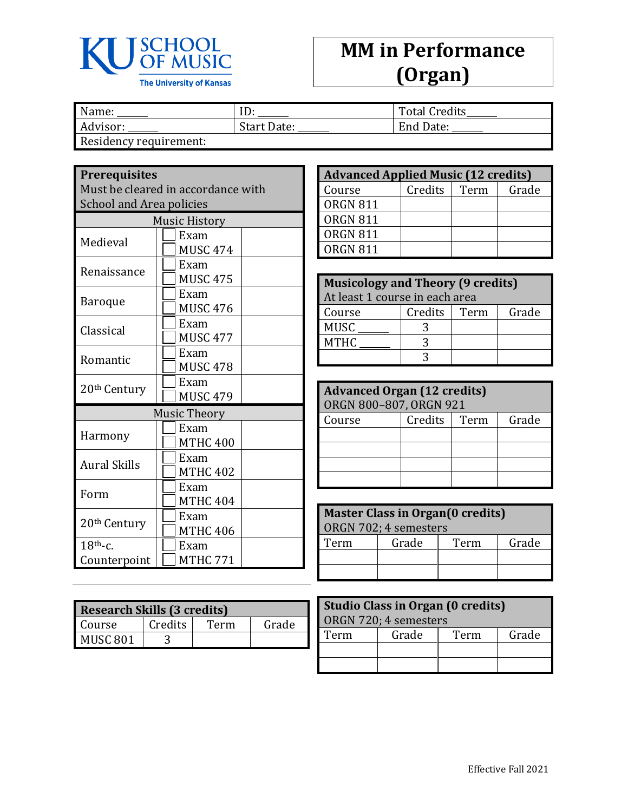

## **MM in Performance (Organ)**

| Name:                 | ⊥                  | <b>Total Credits</b> |
|-----------------------|--------------------|----------------------|
| Advisor:              | <b>Start Date:</b> | End Date:            |
| Posidonau roquiromont |                    |                      |

Residency requirement:

## **Prerequisites**

Must be cleared in accordance with School and Area policies

| <b>Music History</b>     |                     |  |  |
|--------------------------|---------------------|--|--|
| Medieval                 | Exam                |  |  |
|                          | <b>MUSC 474</b>     |  |  |
| Renaissance              | Exam                |  |  |
|                          | <b>MUSC 475</b>     |  |  |
|                          | Exam                |  |  |
| Baroque                  | <b>MUSC 476</b>     |  |  |
| Classical                | Exam                |  |  |
|                          | <b>MUSC 477</b>     |  |  |
|                          | Exam                |  |  |
| Romantic                 | <b>MUSC 478</b>     |  |  |
|                          | Exam                |  |  |
| 20 <sup>th</sup> Century | <b>MUSC 479</b>     |  |  |
|                          | <b>Music Theory</b> |  |  |
|                          | Exam                |  |  |
| Harmony                  | <b>MTHC 400</b>     |  |  |
|                          | Exam                |  |  |
| <b>Aural Skills</b>      | <b>MTHC 402</b>     |  |  |
|                          | Exam                |  |  |
| Form                     | <b>MTHC 404</b>     |  |  |
|                          | Exam                |  |  |
| 20 <sup>th</sup> Century | <b>MTHC 406</b>     |  |  |
| $18th$ -c.               | Exam                |  |  |
| Counterpoint             | MTHC 771            |  |  |

| <b>Research Skills (3 credits)</b> |         |      |       |
|------------------------------------|---------|------|-------|
| Course                             | Credits | Term | Grade |
| MUSC <sub>801</sub>                |         |      |       |

| <b>Advanced Applied Music (12 credits)</b> |         |      |       |
|--------------------------------------------|---------|------|-------|
| Course                                     | Credits | Term | Grade |
| <b>ORGN 811</b>                            |         |      |       |
| <b>ORGN 811</b>                            |         |      |       |
| <b>ORGN 811</b>                            |         |      |       |
| ORGN 811                                   |         |      |       |

| <b>Musicology and Theory (9 credits)</b><br>At least 1 course in each area |         |      |       |
|----------------------------------------------------------------------------|---------|------|-------|
| Course                                                                     | Credits | Term | Grade |
| <b>MUSC</b>                                                                |         |      |       |
| <b>MTHC</b>                                                                |         |      |       |
|                                                                            |         |      |       |

| <b>Advanced Organ (12 credits)</b><br>ORGN 800-807, ORGN 921 |  |  |  |
|--------------------------------------------------------------|--|--|--|
| Credits  <br>Grade<br>Term<br>Course                         |  |  |  |
|                                                              |  |  |  |
|                                                              |  |  |  |
|                                                              |  |  |  |
|                                                              |  |  |  |

| <b>Master Class in Organ(0 credits)</b> |  |  |  |  |
|-----------------------------------------|--|--|--|--|
| ORGN 702; 4 semesters                   |  |  |  |  |
| Grade<br>Grade<br>Term<br>Term          |  |  |  |  |
|                                         |  |  |  |  |
|                                         |  |  |  |  |

| Studio Class in Organ (0 credits)<br>ORGN 720; 4 semesters |  |  |  |  |
|------------------------------------------------------------|--|--|--|--|
| Grade<br>Grade<br>Term<br>Term                             |  |  |  |  |
|                                                            |  |  |  |  |
|                                                            |  |  |  |  |